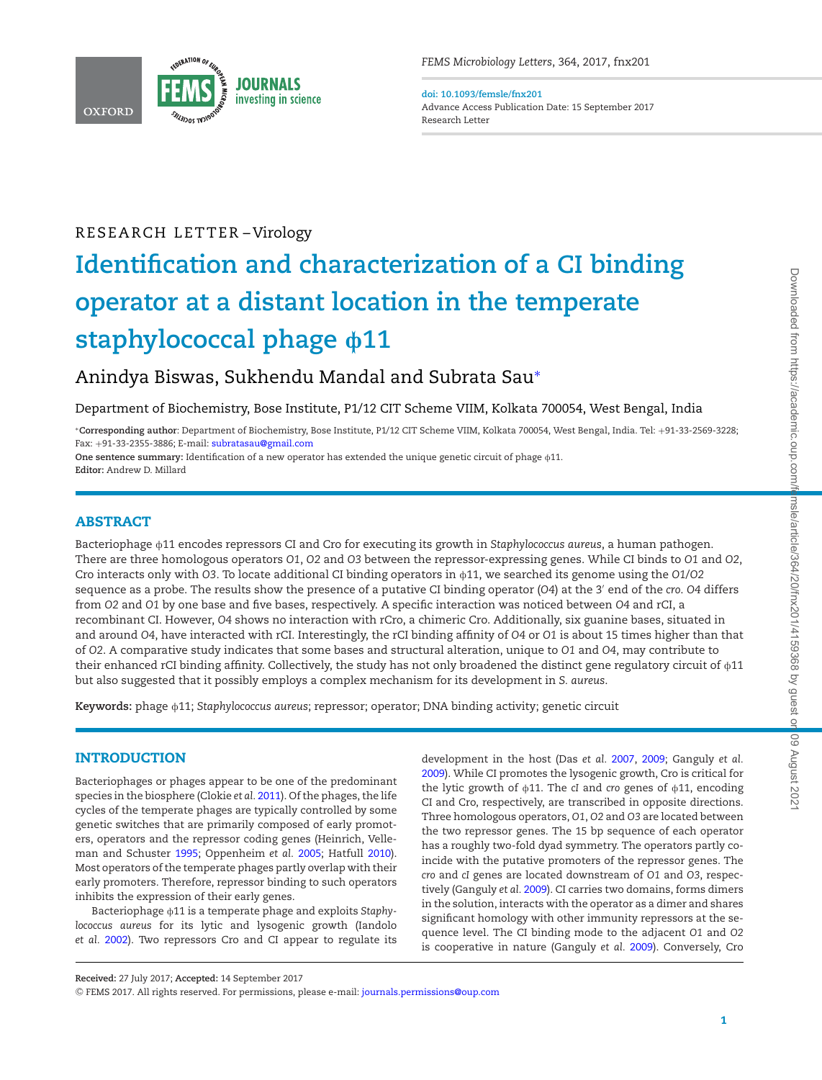

**doi: 10.1093/femsle/fnx201** Advance Access Publication Date: 15 September 2017 Research Letter

## RESEARCH LETTER-Virology

# **Identification and characterization of a CI binding operator at a distant location in the temperate** staphylococcal phage  $\phi$ 11

Anindya Biswas, Sukhendu Mandal and Subrata Sau<sup>∗</sup>

Department of Biochemistry, Bose Institute, P1/12 CIT Scheme VIIM, Kolkata 700054, West Bengal, India

<sup>∗</sup>**Corresponding author**: Department of Biochemistry, Bose Institute, P1/12 CIT Scheme VIIM, Kolkata 700054, West Bengal, India. Tel: +91-33-2569-3228; Fax: +91-33-2355-3886; E-mail: subratasau@gmail.com

One sentence summary: Identification of a new operator has extended the unique genetic circuit of phage  $\phi$ 11. **Editor:** Andrew D. Millard

## ABSTRACT

Bacteriophage f11 encodes repressors CI and Cro for executing its growth in *Staphylococcus aureus*, a human pathogen. There are three homologous operators *O1*, *O2* and *O3* between the repressor-expressing genes. While CI binds to *O1* and *O2*, Cro interacts only with *O3*. To locate additional CI binding operators in  $\phi$ 11, we searched its genome using the *O1*/*O2* sequence as a probe. The results show the presence of a putative CI binding operator (*O4*) at the 3′ end of the *cro*. *O4* differs from *O2* and *O1* by one base and five bases, respectively. A specific interaction was noticed between *O4* and rCI, a recombinant CI. However, *O4* shows no interaction with rCro, a chimeric Cro. Additionally, six guanine bases, situated in and around *O4*, have interacted with rCI. Interestingly, the rCI binding affinity of *O4* or *O1* is about 15 times higher than that of *O2*. A comparative study indicates that some bases and structural alteration, unique to *O1* and *O4*, may contribute to their enhanced rCI binding affinity. Collectively, the study has not only broadened the distinct gene regulatory circuit of  $\phi$ 11 but also suggested that it possibly employs a complex mechanism for its development in *S. aureus*.

**Keywords:** phage f11; *Staphylococcus aureus*; repressor; operator; DNA binding activity; genetic circuit

## INTRODUCTION

Bacteriophages or phages appear to be one of the predominant species in the biosphere (Clokie *et al.* 2011). Of the phages, the life cycles of the temperate phages are typically controlled by some genetic switches that are primarily composed of early promoters, operators and the repressor coding genes (Heinrich, Velleman and Schuster 1995; Oppenheim *et al.* 2005; Hatfull 2010). Most operators of the temperate phages partly overlap with their early promoters. Therefore, repressor binding to such operators inhibits the expression of their early genes.

Bacteriophage  $\phi$ 11 is a temperate phage and exploits *Staphylococcus aureus* for its lytic and lysogenic growth (Iandolo *et al.* 2002). Two repressors Cro and CI appear to regulate its development in the host (Das *et al.* 2007, 2009; Ganguly *et al.* 2009). While CI promotes the lysogenic growth, Cro is critical for the lytic growth of  $\phi$ 11. The *cI* and *cro* genes of  $\phi$ 11, encoding CI and Cro, respectively, are transcribed in opposite directions. Three homologous operators, *O1*, *O2* and *O3* are located between the two repressor genes. The 15 bp sequence of each operator has a roughly two-fold dyad symmetry. The operators partly coincide with the putative promoters of the repressor genes. The *cro* and *cI* genes are located downstream of *O1* and *O3*, respectively (Ganguly *et al.* 2009). CI carries two domains, forms dimers in the solution, interacts with the operator as a dimer and shares significant homology with other immunity repressors at the sequence level. The CI binding mode to the adjacent *O1* and *O2* is cooperative in nature (Ganguly *et al.* 2009). Conversely, Cro

**Received:** 27 July 2017; **Accepted:** 14 September 2017

<sup>C</sup> FEMS 2017. All rights reserved. For permissions, please e-mail: journals.permissions@oup.com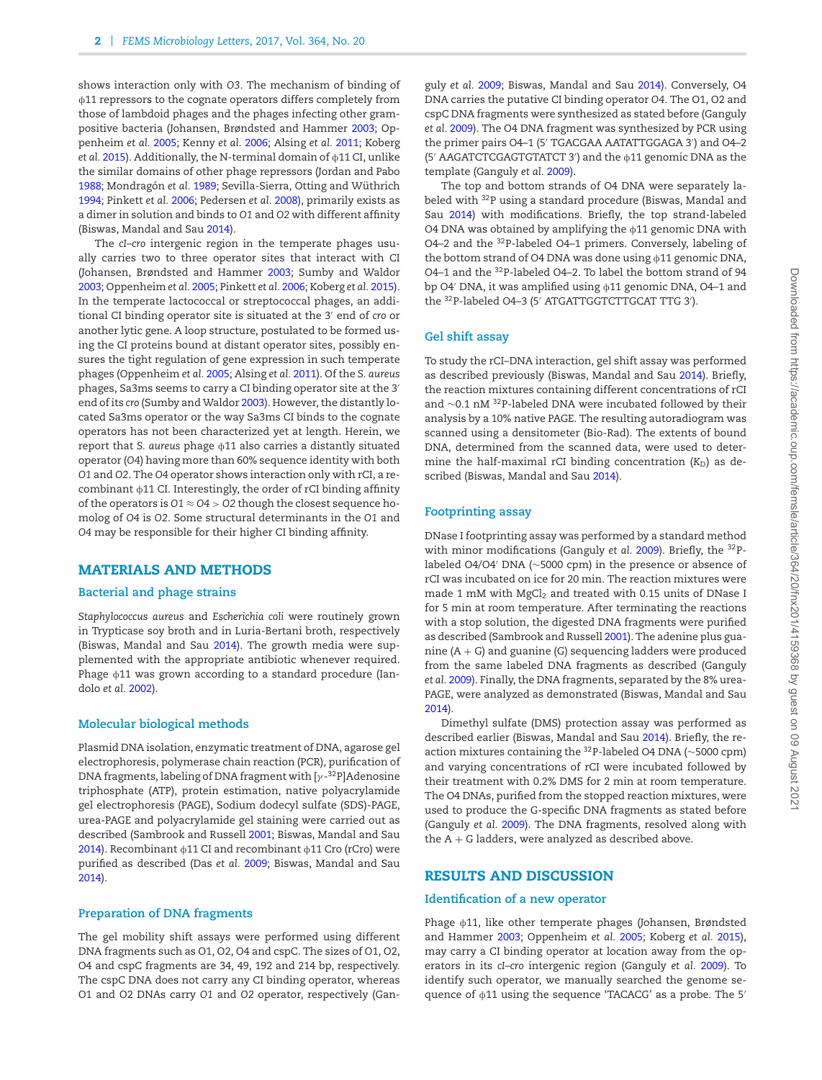shows interaction only with *O3*. The mechanism of binding of  $\phi$ 11 repressors to the cognate operators differs completely from those of lambdoid phages and the phages infecting other grampositive bacteria (Johansen, Brøndsted and Hammer 2003; Oppenheim *et al.* 2005; Kenny *et al.* 2006; Alsing *et al.* 2011; Koberg *et al.* 2015). Additionally, the N-terminal domain of  $\phi$ 11 CI, unlike the similar domains of other phage repressors (Jordan and Pabo 1988; Mondragón et al. 1989; Sevilla-Sierra, Otting and Wüthrich 1994; Pinkett *et al.* 2006; Pedersen *et al.* 2008), primarily exists as a dimer in solution and binds to *O1* and *O2* with different affinity (Biswas, Mandal and Sau 2014).

The *cI*–*cro* intergenic region in the temperate phages usually carries two to three operator sites that interact with CI (Johansen, Brøndsted and Hammer 2003; Sumby and Waldor 2003; Oppenheim *et al.* 2005; Pinkett *et al.* 2006; Koberg *et al.* 2015). In the temperate lactococcal or streptococcal phages, an additional CI binding operator site is situated at the 3′ end of *cro* or another lytic gene. A loop structure, postulated to be formed using the CI proteins bound at distant operator sites, possibly ensures the tight regulation of gene expression in such temperate phages (Oppenheim *et al.* 2005; Alsing *et al.* 2011). Of the *S. aureus* phages, Sa3ms seems to carry a CI binding operator site at the 3′ end of its *cro* (Sumby and Waldor 2003). However, the distantly located Sa3ms operator or the way Sa3ms CI binds to the cognate operators has not been characterized yet at length. Herein, we report that *S. aureus* phage  $\phi$ 11 also carries a distantly situated operator (*O4*) having more than 60% sequence identity with both *O1* and *O2*. The *O4* operator shows interaction only with rCI, a recombinant  $\phi$ 11 CI. Interestingly, the order of rCI binding affinity of the operators is *O1* ≈ *O4* > *O2* though the closest sequence homolog of *O4* is *O2*. Some structural determinants in the *O1* and *O4* may be responsible for their higher CI binding affinity.

## MATERIALS AND METHODS

#### **Bacterial and phage strains**

*Staphylococcus aureus* and *Escherichia coli* were routinely grown in Trypticase soy broth and in Luria-Bertani broth, respectively (Biswas, Mandal and Sau 2014). The growth media were supplemented with the appropriate antibiotic whenever required. Phage  $\phi$ 11 was grown according to a standard procedure (Iandolo *et al.* 2002).

#### **Molecular biological methods**

Plasmid DNA isolation, enzymatic treatment of DNA, agarose gel electrophoresis, polymerase chain reaction (PCR), purification of DNA fragments, labeling of DNA fragment with [ $\gamma$ - $^{32}$ P]Adenosine triphosphate (ATP), protein estimation, native polyacrylamide gel electrophoresis (PAGE), Sodium dodecyl sulfate (SDS)-PAGE, urea-PAGE and polyacrylamide gel staining were carried out as described (Sambrook and Russell 2001; Biswas, Mandal and Sau 2014). Recombinant  $\phi$ 11 CI and recombinant  $\phi$ 11 Cro (rCro) were purified as described (Das *et al.* 2009; Biswas, Mandal and Sau 2014).

#### **Preparation of DNA fragments**

The gel mobility shift assays were performed using different DNA fragments such as O1, O2, O4 and cspC. The sizes of O1, O2, O4 and cspC fragments are 34, 49, 192 and 214 bp, respectively. The cspC DNA does not carry any CI binding operator, whereas O1 and O2 DNAs carry *O1* and *O2* operator, respectively (Ganguly *et al.* 2009; Biswas, Mandal and Sau 2014). Conversely, O4 DNA carries the putative CI binding operator *O4*. The O1, O2 and cspC DNA fragments were synthesized as stated before (Ganguly *et al.* 2009). The O4 DNA fragment was synthesized by PCR using the primer pairs O4–1 (5′ TGACGAA AATATTGGAGA 3′ ) and O4–2 (5′ AAGATCTCGAGTGTATCT 3′ ) and the f11 genomic DNA as the template (Ganguly *et al.* 2009).

The top and bottom strands of O4 DNA were separately labeled with <sup>32</sup>P using a standard procedure (Biswas, Mandal and Sau 2014) with modifications. Briefly, the top strand-labeled O4 DNA was obtained by amplifying the  $\phi$ 11 genomic DNA with O4–2 and the <sup>32</sup>P-labeled O4–1 primers. Conversely, labeling of the bottom strand of O4 DNA was done using  $\phi$ 11 genomic DNA, O4–1 and the <sup>32</sup>P-labeled O4–2. To label the bottom strand of 94 bp O4' DNA, it was amplified using  $\phi$ 11 genomic DNA, O4–1 and the <sup>32</sup>P-labeled O4–3 (5′ ATGATTGGTCTTGCAT TTG 3′ ).

#### **Gel shift assay**

To study the rCI–DNA interaction, gel shift assay was performed as described previously (Biswas, Mandal and Sau 2014). Briefly, the reaction mixtures containing different concentrations of rCI and ∼0.1 nM <sup>32</sup>P-labeled DNA were incubated followed by their analysis by a 10% native PAGE. The resulting autoradiogram was scanned using a densitometer (Bio-Rad). The extents of bound DNA, determined from the scanned data, were used to determine the half-maximal rCI binding concentration (*K*<sub>D</sub>) as described (Biswas, Mandal and Sau 2014).

## **Footprinting assay**

DNase I footprinting assay was performed by a standard method with minor modifications (Ganguly *et al.* 2009). Briefly, the <sup>32</sup>Plabeled O4/O4′ DNA (∼5000 cpm) in the presence or absence of rCI was incubated on ice for 20 min. The reaction mixtures were made 1 mM with MgCl<sub>2</sub> and treated with 0.15 units of DNase I for 5 min at room temperature. After terminating the reactions with a stop solution, the digested DNA fragments were purified as described (Sambrook and Russell 2001). The adenine plus guanine  $(A + G)$  and guanine  $(G)$  sequencing ladders were produced from the same labeled DNA fragments as described (Ganguly *et al.* 2009). Finally, the DNA fragments, separated by the 8% urea-PAGE, were analyzed as demonstrated (Biswas, Mandal and Sau 2014).

Dimethyl sulfate (DMS) protection assay was performed as described earlier (Biswas, Mandal and Sau 2014). Briefly, the reaction mixtures containing the <sup>32</sup>P-labeled O4 DNA (∼5000 cpm) and varying concentrations of rCI were incubated followed by their treatment with 0.2% DMS for 2 min at room temperature. The O4 DNAs, purified from the stopped reaction mixtures, were used to produce the G-specific DNA fragments as stated before (Ganguly *et al.* 2009). The DNA fragments, resolved along with the  $A + G$  ladders, were analyzed as described above.

## RESULTS AND DISCUSSION

## **Identification of a new operator**

Phage  $\phi$ 11, like other temperate phages (Johansen, Brøndsted and Hammer 2003; Oppenheim *et al.* 2005; Koberg *et al.* 2015), may carry a CI binding operator at location away from the operators in its *cI–cro* intergenic region (Ganguly *et al.* 2009). To identify such operator, we manually searched the genome sequence of  $\phi$ 11 using the sequence 'TACACG' as a probe. The 5'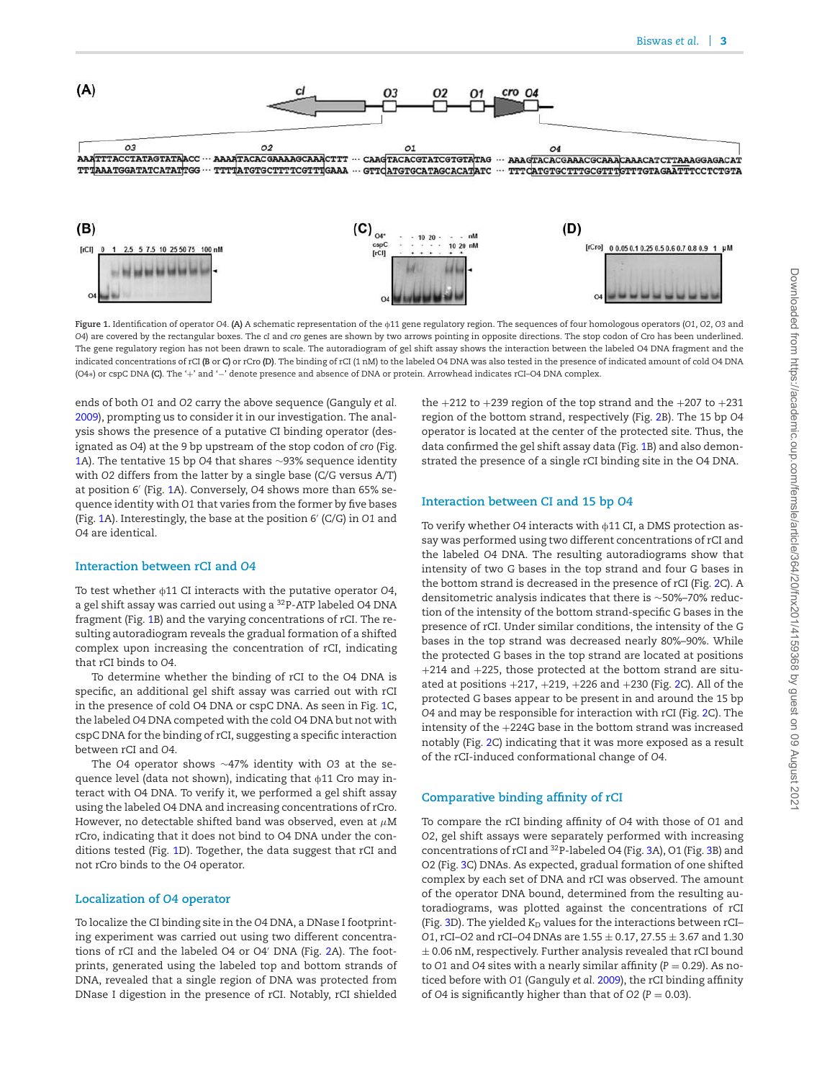

**Figure 1.** Identification of operator *O4*. **(A)** A schematic representation of the f11 gene regulatory region. The sequences of four homologous operators (*O1*, *O2*, *O3* and *O4*) are covered by the rectangular boxes. The *cI* and *cro* genes are shown by two arrows pointing in opposite directions. The stop codon of Cro has been underlined. The gene regulatory region has not been drawn to scale. The autoradiogram of gel shift assay shows the interaction between the labeled O4 DNA fragment and the indicated concentrations of rCI **(B** or **C)** or rCro **(D)**. The binding of rCI (1 nM) to the labeled O4 DNA was also tested in the presence of indicated amount of cold O4 DNA (O4∗) or cspC DNA **(C)**. The '+' and '−' denote presence and absence of DNA or protein. Arrowhead indicates rCI–O4 DNA complex.

ends of both *O1* and *O2* carry the above sequence (Ganguly *et al.* 2009), prompting us to consider it in our investigation. The analysis shows the presence of a putative CI binding operator (designated as *O4*) at the 9 bp upstream of the stop codon of *cro* (Fig. 1A). The tentative 15 bp *O4* that shares ∼93% sequence identity with *O2* differs from the latter by a single base (C/G versus A/T) at position 6′ (Fig. 1A). Conversely, *O4* shows more than 65% sequence identity with *O1* that varies from the former by five bases (Fig. 1A). Interestingly, the base at the position 6′ (C/G) in *O1* and *O4* are identical.

## **Interaction between rCI and** *O4*

To test whether  $\phi$ 11 CI interacts with the putative operator O4, a gel shift assay was carried out using a <sup>32</sup>P-ATP labeled O4 DNA fragment (Fig. 1B) and the varying concentrations of rCI. The resulting autoradiogram reveals the gradual formation of a shifted complex upon increasing the concentration of rCI, indicating that rCI binds to *O4*.

To determine whether the binding of rCI to the O4 DNA is specific, an additional gel shift assay was carried out with rCI in the presence of cold O4 DNA or cspC DNA. As seen in Fig. 1C, the labeled *O4* DNA competed with the cold O4 DNA but not with cspC DNA for the binding of rCI, suggesting a specific interaction between rCI and *O4*.

The *O4* operator shows ∼47% identity with *O3* at the sequence level (data not shown), indicating that  $\phi$ 11 Cro may interact with O4 DNA. To verify it, we performed a gel shift assay using the labeled O4 DNA and increasing concentrations of rCro. However, no detectable shifted band was observed, even at  $\mu$ M rCro, indicating that it does not bind to O4 DNA under the conditions tested (Fig. 1D). Together, the data suggest that rCI and not rCro binds to the *O4* operator.

#### **Localization of** *O4* **operator**

To localize the CI binding site in the *O4* DNA, a DNase I footprinting experiment was carried out using two different concentrations of rCI and the labeled O4 or O4′ DNA (Fig. 2A). The footprints, generated using the labeled top and bottom strands of DNA, revealed that a single region of DNA was protected from DNase I digestion in the presence of rCI. Notably, rCI shielded

the  $+212$  to  $+239$  region of the top strand and the  $+207$  to  $+231$ region of the bottom strand, respectively (Fig. 2B). The 15 bp *O4* operator is located at the center of the protected site. Thus, the data confirmed the gel shift assay data (Fig. 1B) and also demonstrated the presence of a single rCI binding site in the O4 DNA.

#### **Interaction between CI and 15 bp** *O4*

To verify whether O4 interacts with  $\phi$ 11 CI, a DMS protection assay was performed using two different concentrations of rCI and the labeled *O4* DNA. The resulting autoradiograms show that intensity of two G bases in the top strand and four G bases in the bottom strand is decreased in the presence of rCI (Fig. 2C). A densitometric analysis indicates that there is ∼50%–70% reduction of the intensity of the bottom strand-specific G bases in the presence of rCI. Under similar conditions, the intensity of the G bases in the top strand was decreased nearly 80%–90%. While the protected G bases in the top strand are located at positions +214 and +225, those protected at the bottom strand are situated at positions  $+217, +219, +226$  and  $+230$  (Fig. 2C). All of the protected G bases appear to be present in and around the 15 bp *O4* and may be responsible for interaction with rCI (Fig. 2C). The intensity of the +224G base in the bottom strand was increased notably (Fig. 2C) indicating that it was more exposed as a result of the rCI-induced conformational change of *O4*.

#### **Comparative binding affinity of rCI**

To compare the rCI binding affinity of *O4* with those of *O1* and *O2*, gel shift assays were separately performed with increasing concentrations of rCI and <sup>32</sup>P-labeled O4 (Fig. 3A), O1 (Fig. 3B) and O2 (Fig. 3C) DNAs. As expected, gradual formation of one shifted complex by each set of DNA and rCI was observed. The amount of the operator DNA bound, determined from the resulting autoradiograms, was plotted against the concentrations of rCI (Fig. 3D). The yielded *K*<sub>D</sub> values for the interactions between rCI-*O1*, rCI–*O2* and rCI–*O4* DNAs are 1.55 ± 0.17, 27.55 ± 3.67 and 1.30  $\pm$  0.06 nM, respectively. Further analysis revealed that rCI bound to  $O1$  and  $O4$  sites with a nearly similar affinity ( $P = 0.29$ ). As noticed before with *O1* (Ganguly *et al.* 2009), the rCI binding affinity of  $O4$  is significantly higher than that of  $O2$  ( $P = 0.03$ ).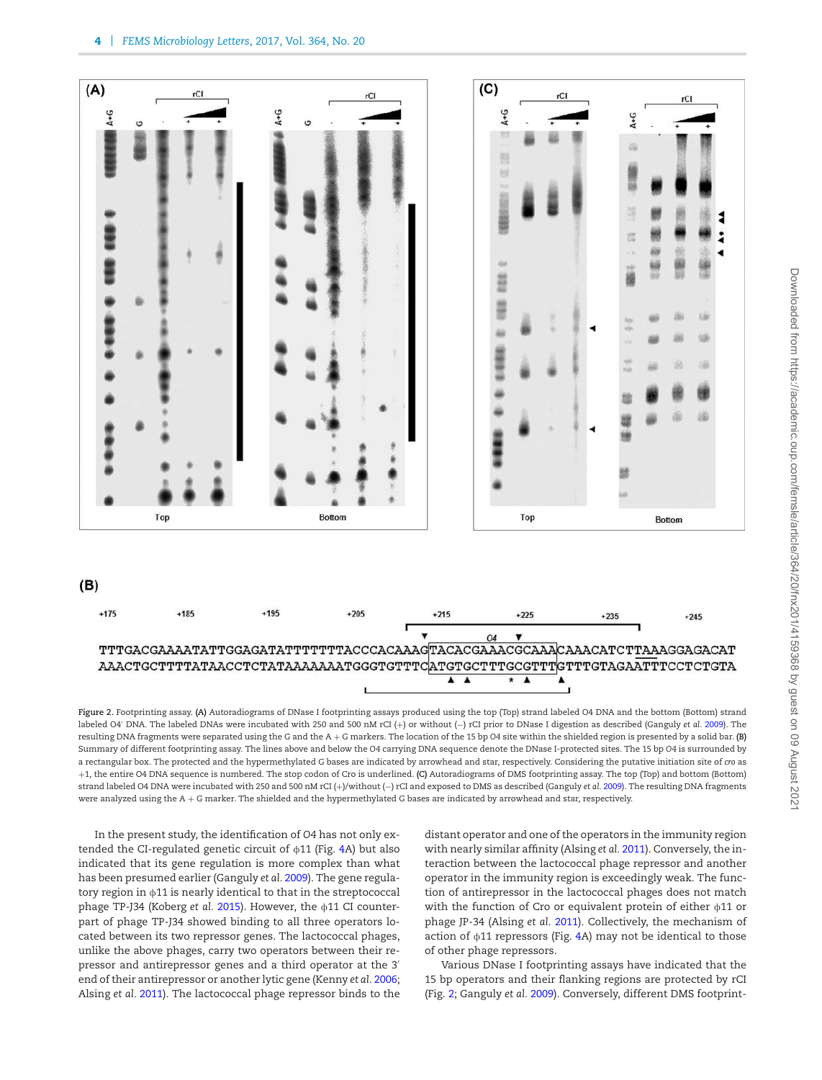

**Figure 2.** Footprinting assay. **(A)** Autoradiograms of DNase I footprinting assays produced using the top (Top) strand labeled O4 DNA and the bottom (Bottom) strand labeled O4′ DNA. The labeled DNAs were incubated with 250 and 500 nM rCI (+) or without (−) rCI prior to DNase I digestion as described (Ganguly *et al.* 2009). The resulting DNA fragments were separated using the G and the A + G markers. The location of the 15 bp *O4* site within the shielded region is presented by a solid bar. **(B)** Summary of different footprinting assay. The lines above and below the *O4* carrying DNA sequence denote the DNase I-protected sites. The 15 bp *O4* is surrounded by a rectangular box. The protected and the hypermethylated G bases are indicated by arrowhead and star, respectively. Considering the putative initiation site of *cro* as +1, the entire O4 DNA sequence is numbered. The stop codon of Cro is underlined. **(C)** Autoradiograms of DMS footprinting assay. The top (Top) and bottom (Bottom) strand labeled O4 DNA were incubated with 250 and 500 nM rCI (+)/without (−) rCI and exposed to DMS as described (Ganguly *et al.* 2009). The resulting DNA fragments were analyzed using the A + G marker. The shielded and the hypermethylated G bases are indicated by arrowhead and star, respectively.

In the present study, the identification of *O4* has not only extended the CI-regulated genetic circuit of  $\phi$ 11 (Fig. 4A) but also indicated that its gene regulation is more complex than what has been presumed earlier (Ganguly *et al.* 2009). The gene regulatory region in  $\phi$ 11 is nearly identical to that in the streptococcal phage TP-J34 (Koberg *et al.* 2015). However, the  $\phi$ 11 CI counterpart of phage TP-J34 showed binding to all three operators located between its two repressor genes. The lactococcal phages, unlike the above phages, carry two operators between their repressor and antirepressor genes and a third operator at the 3′ end of their antirepressor or another lytic gene (Kenny *et al.* 2006; Alsing *et al.* 2011). The lactococcal phage repressor binds to the

distant operator and one of the operators in the immunity region with nearly similar affinity (Alsing *et al.* 2011). Conversely, the interaction between the lactococcal phage repressor and another operator in the immunity region is exceedingly weak. The function of antirepressor in the lactococcal phages does not match with the function of Cro or equivalent protein of either  $\phi$ 11 or phage JP-34 (Alsing *et al.* 2011). Collectively, the mechanism of action of  $\phi$ 11 repressors (Fig. 4A) may not be identical to those of other phage repressors.

Various DNase I footprinting assays have indicated that the 15 bp operators and their flanking regions are protected by rCI (Fig. 2; Ganguly *et al.* 2009). Conversely, different DMS footprint-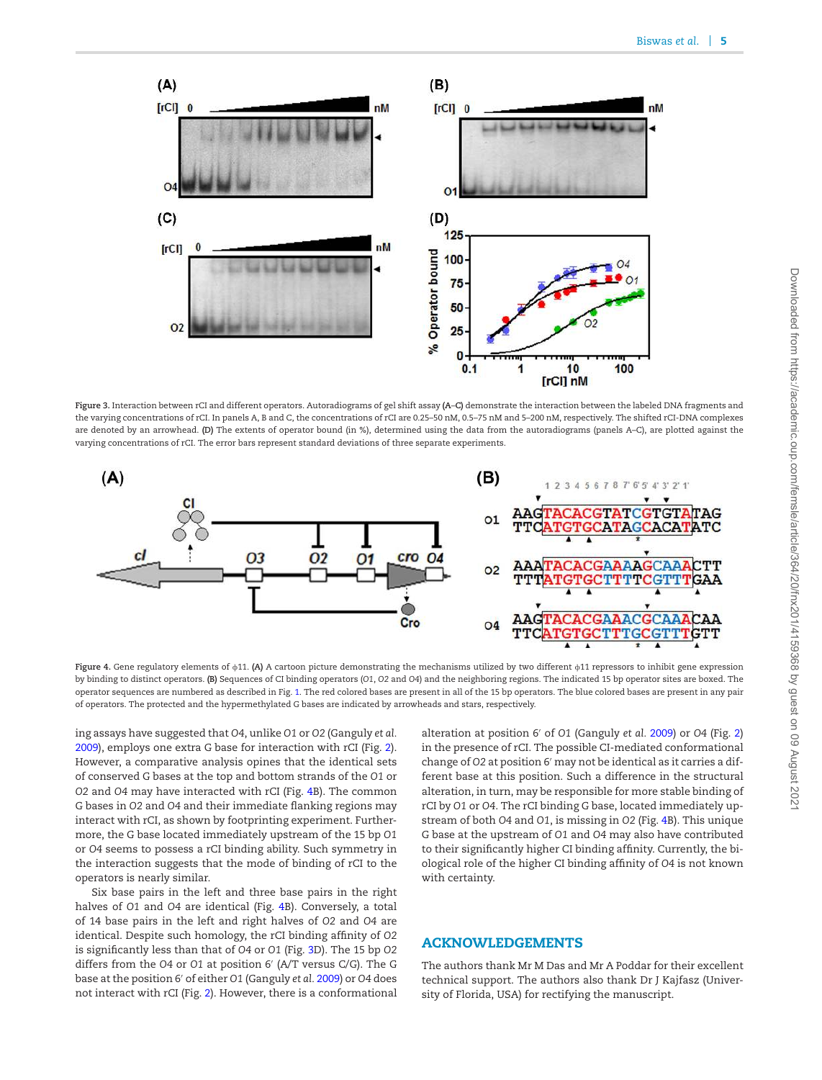

**Figure 3.** Interaction between rCI and different operators. Autoradiograms of gel shift assay **(A**–**C)** demonstrate the interaction between the labeled DNA fragments and the varying concentrations of rCI. In panels A, B and C, the concentrations of rCI are 0.25–50 nM, 0.5–75 nM and 5–200 nM, respectively. The shifted rCI-DNA complexes are denoted by an arrowhead. (D) The extents of operator bound (in %), determined using the data from the autoradiograms (panels A-C), are plotted against the varying concentrations of rCI. The error bars represent standard deviations of three separate experiments.



**Figure 4.** Gene regulatory elements of  $\phi$ 11. **(A)** A cartoon picture demonstrating the mechanisms utilized by two different  $\phi$ 11 repressors to inhibit gene expression by binding to distinct operators. **(B)** Sequences of CI binding operators (*O1*, *O2* and *O4*) and the neighboring regions. The indicated 15 bp operator sites are boxed. The operator sequences are numbered as described in Fig. 1. The red colored bases are present in all of the 15 bp operators. The blue colored bases are present in any pair of operators. The protected and the hypermethylated G bases are indicated by arrowheads and stars, respectively.

ing assays have suggested that *O4*, unlike *O1* or *O2* (Ganguly *et al.* 2009), employs one extra G base for interaction with rCI (Fig. 2). However, a comparative analysis opines that the identical sets of conserved G bases at the top and bottom strands of the *O1* or *O2* and *O4* may have interacted with rCI (Fig. 4B). The common G bases in *O2* and *O4* and their immediate flanking regions may interact with rCI, as shown by footprinting experiment. Furthermore, the G base located immediately upstream of the 15 bp *O1* or *O4* seems to possess a rCI binding ability. Such symmetry in the interaction suggests that the mode of binding of rCI to the operators is nearly similar.

Six base pairs in the left and three base pairs in the right halves of *O1* and *O4* are identical (Fig. 4B). Conversely, a total of 14 base pairs in the left and right halves of *O2* and *O4* are identical. Despite such homology, the rCI binding affinity of *O2* is significantly less than that of *O4* or *O1* (Fig. 3D). The 15 bp *O2* differs from the *O4* or *O1* at position 6′ (A/T versus C/G). The G base at the position 6′ of either *O1* (Ganguly *et al.* 2009) or *O4* does not interact with rCI (Fig. 2). However, there is a conformational alteration at position 6′ of *O1* (Ganguly *et al.* 2009) or *O4* (Fig. 2) in the presence of rCI. The possible CI-mediated conformational change of *O2* at position 6′ may not be identical as it carries a different base at this position. Such a difference in the structural alteration, in turn, may be responsible for more stable binding of rCI by *O1* or *O4*. The rCI binding G base, located immediately upstream of both *O4* and *O1*, is missing in *O2* (Fig. 4B). This unique G base at the upstream of *O1* and *O4* may also have contributed to their significantly higher CI binding affinity. Currently, the biological role of the higher CI binding affinity of *O4* is not known with certainty.

## ACKNOWLEDGEMENTS

The authors thank Mr M Das and Mr A Poddar for their excellent technical support. The authors also thank Dr J Kajfasz (University of Florida, USA) for rectifying the manuscript.